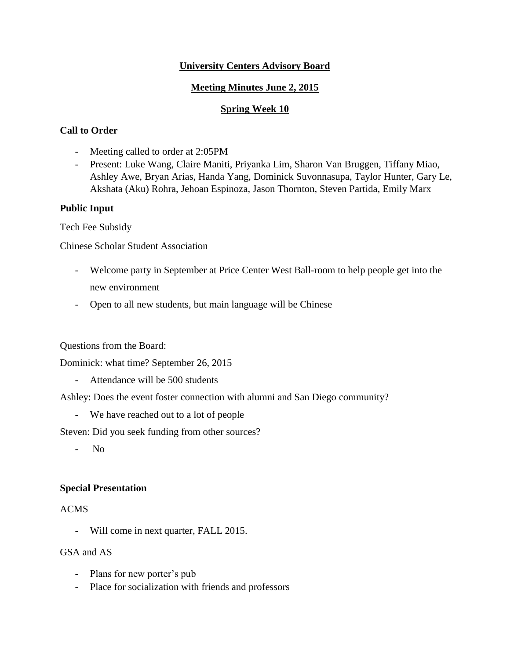## **University Centers Advisory Board**

# **Meeting Minutes June 2, 2015**

## **Spring Week 10**

# **Call to Order**

- Meeting called to order at 2:05PM
- Present: Luke Wang, Claire Maniti, Priyanka Lim, Sharon Van Bruggen, Tiffany Miao, Ashley Awe, Bryan Arias, Handa Yang, Dominick Suvonnasupa, Taylor Hunter, Gary Le, Akshata (Aku) Rohra, Jehoan Espinoza, Jason Thornton, Steven Partida, Emily Marx

## **Public Input**

Tech Fee Subsidy

Chinese Scholar Student Association

- Welcome party in September at Price Center West Ball-room to help people get into the new environment
- Open to all new students, but main language will be Chinese

Questions from the Board:

Dominick: what time? September 26, 2015

- Attendance will be 500 students

Ashley: Does the event foster connection with alumni and San Diego community?

- We have reached out to a lot of people

Steven: Did you seek funding from other sources?

- No

## **Special Presentation**

## ACMS

- Will come in next quarter, FALL 2015.

## GSA and AS

- Plans for new porter's pub
- Place for socialization with friends and professors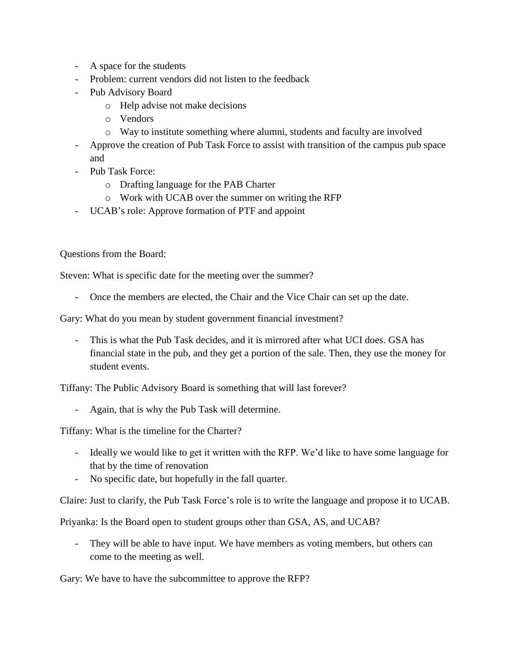- A space for the students
- Problem: current vendors did not listen to the feedback
- Pub Advisory Board
	- o Help advise not make decisions
	- o Vendors
	- o Way to institute something where alumni, students and faculty are involved
- Approve the creation of Pub Task Force to assist with transition of the campus pub space and
- Pub Task Force:
	- o Drafting language for the PAB Charter
	- o Work with UCAB over the summer on writing the RFP
- UCAB's role: Approve formation of PTF and appoint

Questions from the Board:

Steven: What is specific date for the meeting over the summer?

Once the members are elected, the Chair and the Vice Chair can set up the date.

Gary: What do you mean by student government financial investment?

- This is what the Pub Task decides, and it is mirrored after what UCI does. GSA has financial state in the pub, and they get a portion of the sale. Then, they use the money for student events.

Tiffany: The Public Advisory Board is something that will last forever?

Again, that is why the Pub Task will determine.

Tiffany: What is the timeline for the Charter?

- Ideally we would like to get it written with the RFP. We'd like to have some language for that by the time of renovation
- No specific date, but hopefully in the fall quarter.

Claire: Just to clarify, the Pub Task Force's role is to write the language and propose it to UCAB.

Priyanka: Is the Board open to student groups other than GSA, AS, and UCAB?

They will be able to have input. We have members as voting members, but others can come to the meeting as well.

Gary: We have to have the subcommittee to approve the RFP?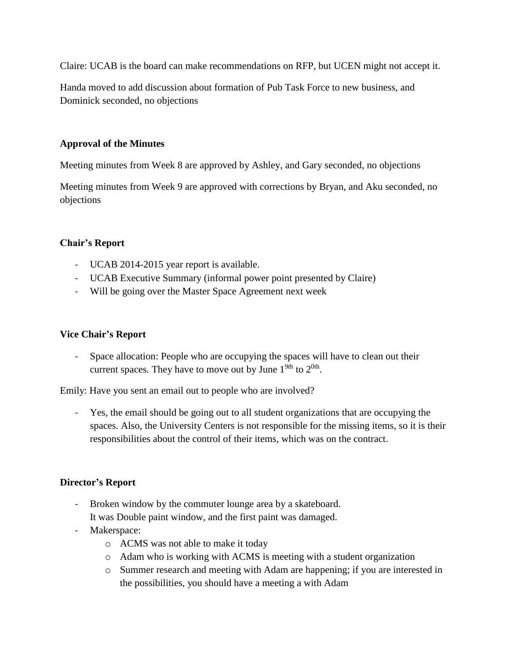Claire: UCAB is the board can make recommendations on RFP, but UCEN might not accept it.

Handa moved to add discussion about formation of Pub Task Force to new business, and Dominick seconded, no objections

### **Approval of the Minutes**

Meeting minutes from Week 8 are approved by Ashley, and Gary seconded, no objections

Meeting minutes from Week 9 are approved with corrections by Bryan, and Aku seconded, no objections

## **Chair's Report**

- UCAB 2014-2015 year report is available.
- UCAB Executive Summary (informal power point presented by Claire)
- Will be going over the Master Space Agreement next week

## **Vice Chair's Report**

- Space allocation: People who are occupying the spaces will have to clean out their current spaces. They have to move out by June  $1^{9th}$  to  $2^{0th}$ .

Emily: Have you sent an email out to people who are involved?

Yes, the email should be going out to all student organizations that are occupying the spaces. Also, the University Centers is not responsible for the missing items, so it is their responsibilities about the control of their items, which was on the contract.

## **Director's Report**

- Broken window by the commuter lounge area by a skateboard. It was Double paint window, and the first paint was damaged.
- Makerspace:
	- o ACMS was not able to make it today
	- o Adam who is working with ACMS is meeting with a student organization
	- o Summer research and meeting with Adam are happening; if you are interested in the possibilities, you should have a meeting a with Adam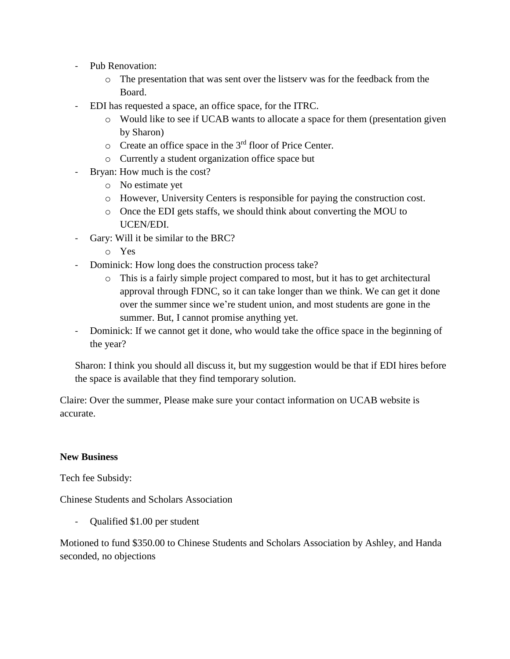- Pub Renovation:
	- o The presentation that was sent over the listserv was for the feedback from the Board.
- EDI has requested a space, an office space, for the ITRC.
	- o Would like to see if UCAB wants to allocate a space for them (presentation given by Sharon)
	- $\circ$  Create an office space in the 3<sup>rd</sup> floor of Price Center.
	- o Currently a student organization office space but
- Bryan: How much is the cost?
	- o No estimate yet
	- o However, University Centers is responsible for paying the construction cost.
	- o Once the EDI gets staffs, we should think about converting the MOU to UCEN/EDI.
- Gary: Will it be similar to the BRC?
	- o Yes
- Dominick: How long does the construction process take?
	- o This is a fairly simple project compared to most, but it has to get architectural approval through FDNC, so it can take longer than we think. We can get it done over the summer since we're student union, and most students are gone in the summer. But, I cannot promise anything yet.
- Dominick: If we cannot get it done, who would take the office space in the beginning of the year?

Sharon: I think you should all discuss it, but my suggestion would be that if EDI hires before the space is available that they find temporary solution.

Claire: Over the summer, Please make sure your contact information on UCAB website is accurate.

#### **New Business**

Tech fee Subsidy:

Chinese Students and Scholars Association

- Qualified \$1.00 per student

Motioned to fund \$350.00 to Chinese Students and Scholars Association by Ashley, and Handa seconded, no objections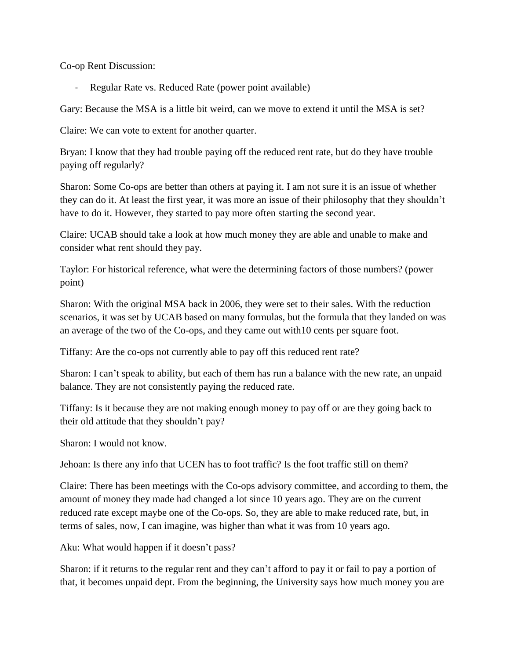Co-op Rent Discussion:

Regular Rate vs. Reduced Rate (power point available)

Gary: Because the MSA is a little bit weird, can we move to extend it until the MSA is set?

Claire: We can vote to extent for another quarter.

Bryan: I know that they had trouble paying off the reduced rent rate, but do they have trouble paying off regularly?

Sharon: Some Co-ops are better than others at paying it. I am not sure it is an issue of whether they can do it. At least the first year, it was more an issue of their philosophy that they shouldn't have to do it. However, they started to pay more often starting the second year.

Claire: UCAB should take a look at how much money they are able and unable to make and consider what rent should they pay.

Taylor: For historical reference, what were the determining factors of those numbers? (power point)

Sharon: With the original MSA back in 2006, they were set to their sales. With the reduction scenarios, it was set by UCAB based on many formulas, but the formula that they landed on was an average of the two of the Co-ops, and they came out with10 cents per square foot.

Tiffany: Are the co-ops not currently able to pay off this reduced rent rate?

Sharon: I can't speak to ability, but each of them has run a balance with the new rate, an unpaid balance. They are not consistently paying the reduced rate.

Tiffany: Is it because they are not making enough money to pay off or are they going back to their old attitude that they shouldn't pay?

Sharon: I would not know.

Jehoan: Is there any info that UCEN has to foot traffic? Is the foot traffic still on them?

Claire: There has been meetings with the Co-ops advisory committee, and according to them, the amount of money they made had changed a lot since 10 years ago. They are on the current reduced rate except maybe one of the Co-ops. So, they are able to make reduced rate, but, in terms of sales, now, I can imagine, was higher than what it was from 10 years ago.

Aku: What would happen if it doesn't pass?

Sharon: if it returns to the regular rent and they can't afford to pay it or fail to pay a portion of that, it becomes unpaid dept. From the beginning, the University says how much money you are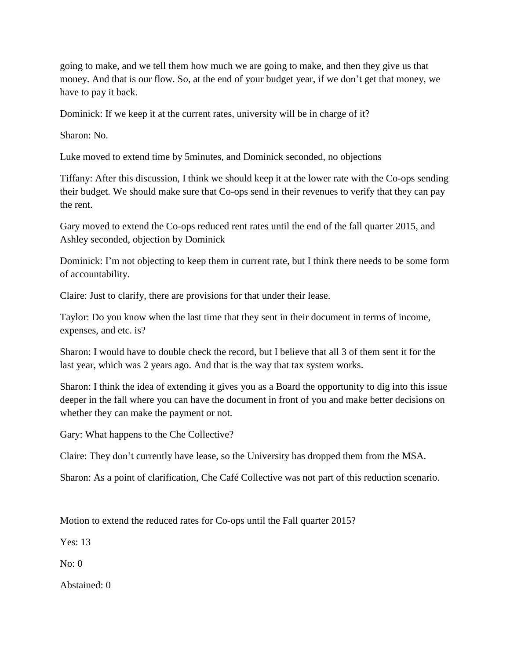going to make, and we tell them how much we are going to make, and then they give us that money. And that is our flow. So, at the end of your budget year, if we don't get that money, we have to pay it back.

Dominick: If we keep it at the current rates, university will be in charge of it?

Sharon: No.

Luke moved to extend time by 5minutes, and Dominick seconded, no objections

Tiffany: After this discussion, I think we should keep it at the lower rate with the Co-ops sending their budget. We should make sure that Co-ops send in their revenues to verify that they can pay the rent.

Gary moved to extend the Co-ops reduced rent rates until the end of the fall quarter 2015, and Ashley seconded, objection by Dominick

Dominick: I'm not objecting to keep them in current rate, but I think there needs to be some form of accountability.

Claire: Just to clarify, there are provisions for that under their lease.

Taylor: Do you know when the last time that they sent in their document in terms of income, expenses, and etc. is?

Sharon: I would have to double check the record, but I believe that all 3 of them sent it for the last year, which was 2 years ago. And that is the way that tax system works.

Sharon: I think the idea of extending it gives you as a Board the opportunity to dig into this issue deeper in the fall where you can have the document in front of you and make better decisions on whether they can make the payment or not.

Gary: What happens to the Che Collective?

Claire: They don't currently have lease, so the University has dropped them from the MSA.

Sharon: As a point of clarification, Che Café Collective was not part of this reduction scenario.

Motion to extend the reduced rates for Co-ops until the Fall quarter 2015?

Yes: 13

No: 0

Abstained: 0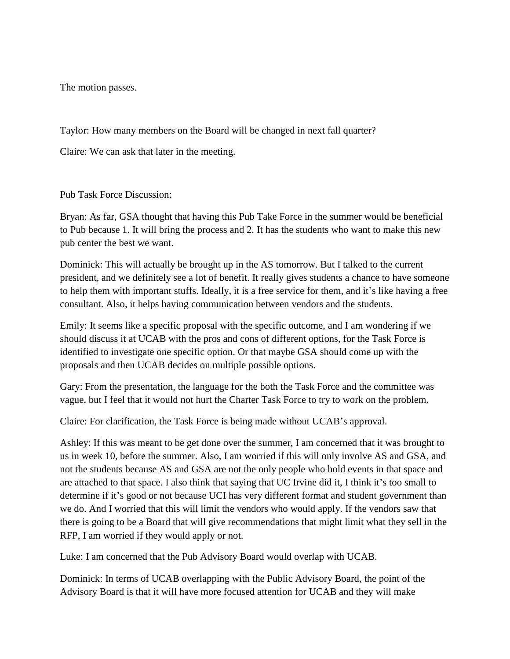The motion passes.

Taylor: How many members on the Board will be changed in next fall quarter?

Claire: We can ask that later in the meeting.

Pub Task Force Discussion:

Bryan: As far, GSA thought that having this Pub Take Force in the summer would be beneficial to Pub because 1. It will bring the process and 2. It has the students who want to make this new pub center the best we want.

Dominick: This will actually be brought up in the AS tomorrow. But I talked to the current president, and we definitely see a lot of benefit. It really gives students a chance to have someone to help them with important stuffs. Ideally, it is a free service for them, and it's like having a free consultant. Also, it helps having communication between vendors and the students.

Emily: It seems like a specific proposal with the specific outcome, and I am wondering if we should discuss it at UCAB with the pros and cons of different options, for the Task Force is identified to investigate one specific option. Or that maybe GSA should come up with the proposals and then UCAB decides on multiple possible options.

Gary: From the presentation, the language for the both the Task Force and the committee was vague, but I feel that it would not hurt the Charter Task Force to try to work on the problem.

Claire: For clarification, the Task Force is being made without UCAB's approval.

Ashley: If this was meant to be get done over the summer, I am concerned that it was brought to us in week 10, before the summer. Also, I am worried if this will only involve AS and GSA, and not the students because AS and GSA are not the only people who hold events in that space and are attached to that space. I also think that saying that UC Irvine did it, I think it's too small to determine if it's good or not because UCI has very different format and student government than we do. And I worried that this will limit the vendors who would apply. If the vendors saw that there is going to be a Board that will give recommendations that might limit what they sell in the RFP, I am worried if they would apply or not.

Luke: I am concerned that the Pub Advisory Board would overlap with UCAB.

Dominick: In terms of UCAB overlapping with the Public Advisory Board, the point of the Advisory Board is that it will have more focused attention for UCAB and they will make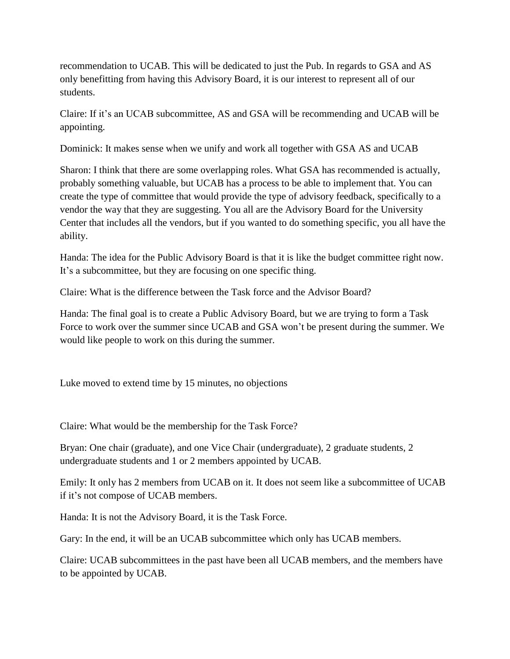recommendation to UCAB. This will be dedicated to just the Pub. In regards to GSA and AS only benefitting from having this Advisory Board, it is our interest to represent all of our students.

Claire: If it's an UCAB subcommittee, AS and GSA will be recommending and UCAB will be appointing.

Dominick: It makes sense when we unify and work all together with GSA AS and UCAB

Sharon: I think that there are some overlapping roles. What GSA has recommended is actually, probably something valuable, but UCAB has a process to be able to implement that. You can create the type of committee that would provide the type of advisory feedback, specifically to a vendor the way that they are suggesting. You all are the Advisory Board for the University Center that includes all the vendors, but if you wanted to do something specific, you all have the ability.

Handa: The idea for the Public Advisory Board is that it is like the budget committee right now. It's a subcommittee, but they are focusing on one specific thing.

Claire: What is the difference between the Task force and the Advisor Board?

Handa: The final goal is to create a Public Advisory Board, but we are trying to form a Task Force to work over the summer since UCAB and GSA won't be present during the summer. We would like people to work on this during the summer.

Luke moved to extend time by 15 minutes, no objections

Claire: What would be the membership for the Task Force?

Bryan: One chair (graduate), and one Vice Chair (undergraduate), 2 graduate students, 2 undergraduate students and 1 or 2 members appointed by UCAB.

Emily: It only has 2 members from UCAB on it. It does not seem like a subcommittee of UCAB if it's not compose of UCAB members.

Handa: It is not the Advisory Board, it is the Task Force.

Gary: In the end, it will be an UCAB subcommittee which only has UCAB members.

Claire: UCAB subcommittees in the past have been all UCAB members, and the members have to be appointed by UCAB.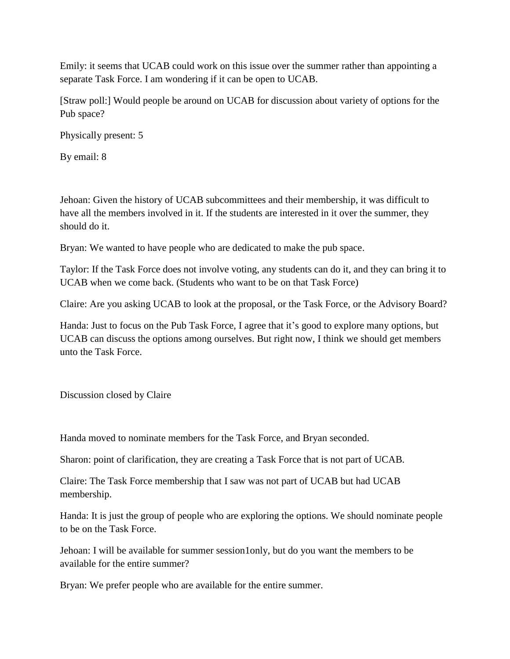Emily: it seems that UCAB could work on this issue over the summer rather than appointing a separate Task Force. I am wondering if it can be open to UCAB.

[Straw poll:] Would people be around on UCAB for discussion about variety of options for the Pub space?

Physically present: 5

By email: 8

Jehoan: Given the history of UCAB subcommittees and their membership, it was difficult to have all the members involved in it. If the students are interested in it over the summer, they should do it.

Bryan: We wanted to have people who are dedicated to make the pub space.

Taylor: If the Task Force does not involve voting, any students can do it, and they can bring it to UCAB when we come back. (Students who want to be on that Task Force)

Claire: Are you asking UCAB to look at the proposal, or the Task Force, or the Advisory Board?

Handa: Just to focus on the Pub Task Force, I agree that it's good to explore many options, but UCAB can discuss the options among ourselves. But right now, I think we should get members unto the Task Force.

Discussion closed by Claire

Handa moved to nominate members for the Task Force, and Bryan seconded.

Sharon: point of clarification, they are creating a Task Force that is not part of UCAB.

Claire: The Task Force membership that I saw was not part of UCAB but had UCAB membership.

Handa: It is just the group of people who are exploring the options. We should nominate people to be on the Task Force.

Jehoan: I will be available for summer session1only, but do you want the members to be available for the entire summer?

Bryan: We prefer people who are available for the entire summer.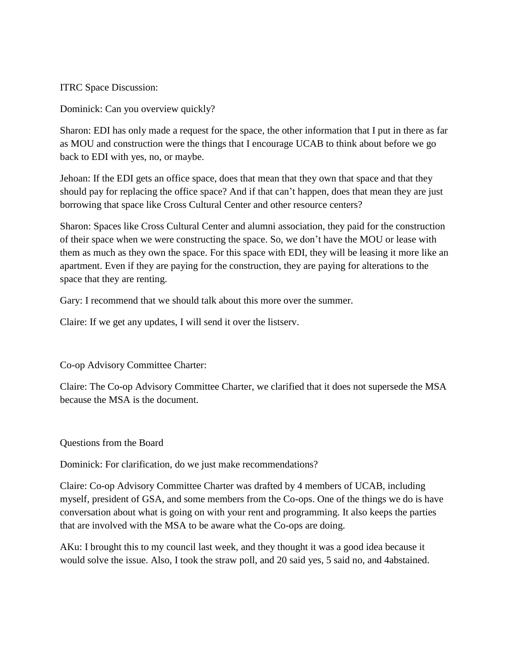ITRC Space Discussion:

Dominick: Can you overview quickly?

Sharon: EDI has only made a request for the space, the other information that I put in there as far as MOU and construction were the things that I encourage UCAB to think about before we go back to EDI with yes, no, or maybe.

Jehoan: If the EDI gets an office space, does that mean that they own that space and that they should pay for replacing the office space? And if that can't happen, does that mean they are just borrowing that space like Cross Cultural Center and other resource centers?

Sharon: Spaces like Cross Cultural Center and alumni association, they paid for the construction of their space when we were constructing the space. So, we don't have the MOU or lease with them as much as they own the space. For this space with EDI, they will be leasing it more like an apartment. Even if they are paying for the construction, they are paying for alterations to the space that they are renting.

Gary: I recommend that we should talk about this more over the summer.

Claire: If we get any updates, I will send it over the listserv.

Co-op Advisory Committee Charter:

Claire: The Co-op Advisory Committee Charter, we clarified that it does not supersede the MSA because the MSA is the document.

Questions from the Board

Dominick: For clarification, do we just make recommendations?

Claire: Co-op Advisory Committee Charter was drafted by 4 members of UCAB, including myself, president of GSA, and some members from the Co-ops. One of the things we do is have conversation about what is going on with your rent and programming. It also keeps the parties that are involved with the MSA to be aware what the Co-ops are doing.

AKu: I brought this to my council last week, and they thought it was a good idea because it would solve the issue. Also, I took the straw poll, and 20 said yes, 5 said no, and 4abstained.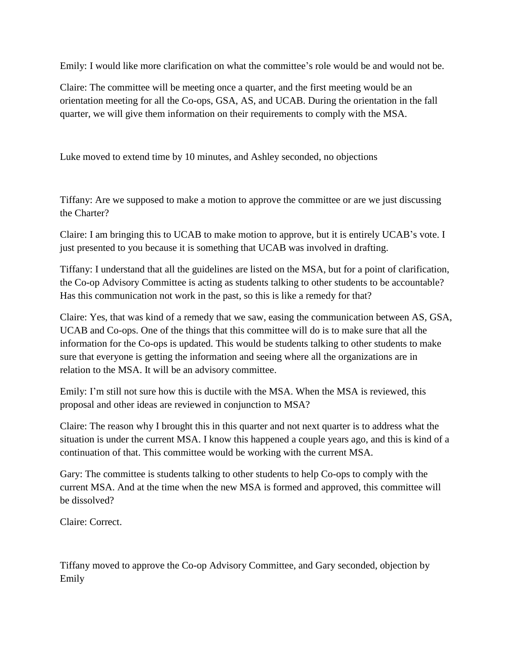Emily: I would like more clarification on what the committee's role would be and would not be.

Claire: The committee will be meeting once a quarter, and the first meeting would be an orientation meeting for all the Co-ops, GSA, AS, and UCAB. During the orientation in the fall quarter, we will give them information on their requirements to comply with the MSA.

Luke moved to extend time by 10 minutes, and Ashley seconded, no objections

Tiffany: Are we supposed to make a motion to approve the committee or are we just discussing the Charter?

Claire: I am bringing this to UCAB to make motion to approve, but it is entirely UCAB's vote. I just presented to you because it is something that UCAB was involved in drafting.

Tiffany: I understand that all the guidelines are listed on the MSA, but for a point of clarification, the Co-op Advisory Committee is acting as students talking to other students to be accountable? Has this communication not work in the past, so this is like a remedy for that?

Claire: Yes, that was kind of a remedy that we saw, easing the communication between AS, GSA, UCAB and Co-ops. One of the things that this committee will do is to make sure that all the information for the Co-ops is updated. This would be students talking to other students to make sure that everyone is getting the information and seeing where all the organizations are in relation to the MSA. It will be an advisory committee.

Emily: I'm still not sure how this is ductile with the MSA. When the MSA is reviewed, this proposal and other ideas are reviewed in conjunction to MSA?

Claire: The reason why I brought this in this quarter and not next quarter is to address what the situation is under the current MSA. I know this happened a couple years ago, and this is kind of a continuation of that. This committee would be working with the current MSA.

Gary: The committee is students talking to other students to help Co-ops to comply with the current MSA. And at the time when the new MSA is formed and approved, this committee will be dissolved?

Claire: Correct.

Tiffany moved to approve the Co-op Advisory Committee, and Gary seconded, objection by Emily